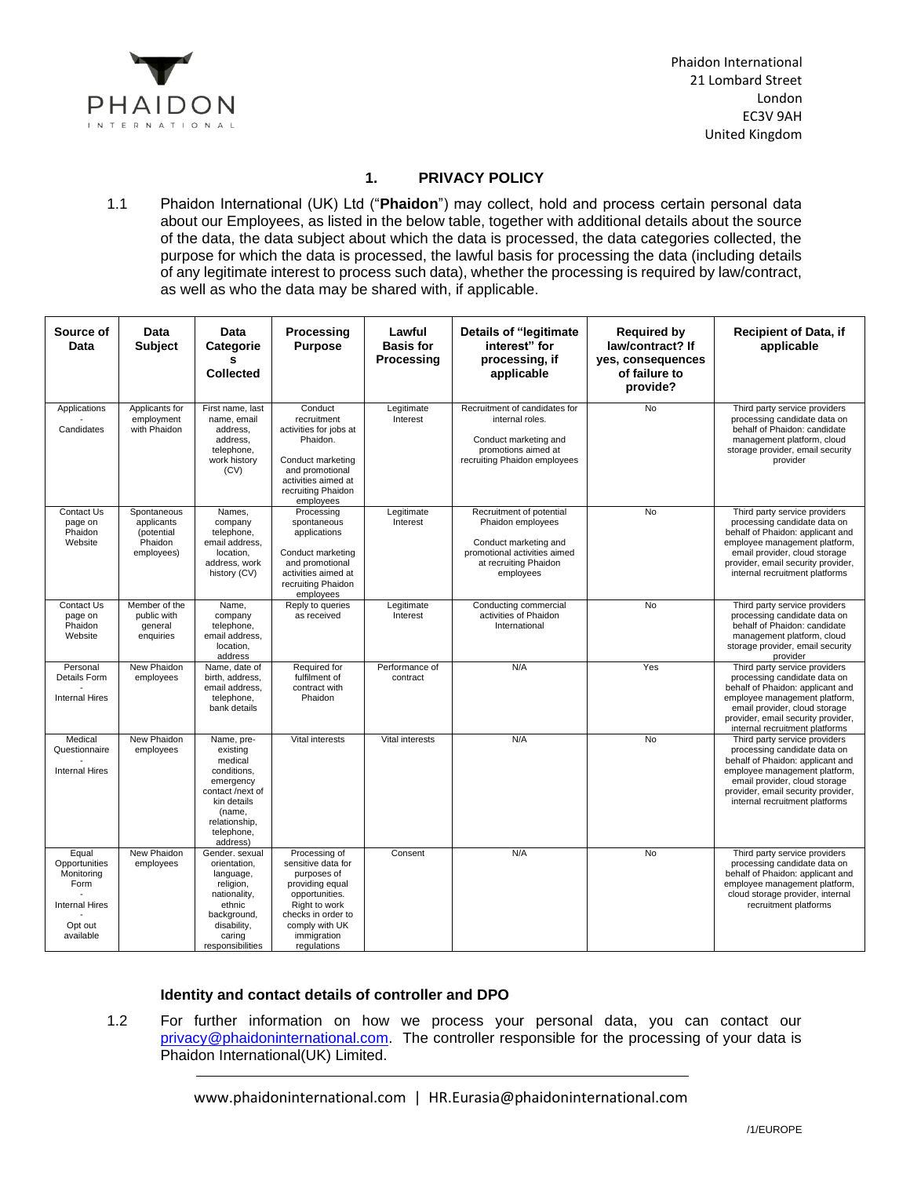

## **1. PRIVACY POLICY**

1.1 Phaidon International (UK) Ltd ("**Phaidon**") may collect, hold and process certain personal data about our Employees, as listed in the below table, together with additional details about the source of the data, the data subject about which the data is processed, the data categories collected, the purpose for which the data is processed, the lawful basis for processing the data (including details of any legitimate interest to process such data), whether the processing is required by law/contract, as well as who the data may be shared with, if applicable.

| Source of<br>Data                                                                             | Data<br><b>Subject</b>                                           | Data<br>Categorie<br>s<br><b>Collected</b>                                                                                                            | Processing<br><b>Purpose</b>                                                                                                                                                   | Lawful<br><b>Basis for</b><br>Processing | <b>Details of "legitimate</b><br>interest" for<br>processing, if<br>applicable                                                               | <b>Required by</b><br>law/contract? If<br>yes, consequences<br>of failure to<br>provide? | <b>Recipient of Data, if</b><br>applicable                                                                                                                                                                                                  |
|-----------------------------------------------------------------------------------------------|------------------------------------------------------------------|-------------------------------------------------------------------------------------------------------------------------------------------------------|--------------------------------------------------------------------------------------------------------------------------------------------------------------------------------|------------------------------------------|----------------------------------------------------------------------------------------------------------------------------------------------|------------------------------------------------------------------------------------------|---------------------------------------------------------------------------------------------------------------------------------------------------------------------------------------------------------------------------------------------|
| Applications<br>Candidates                                                                    | Applicants for<br>employment<br>with Phaidon                     | First name, last<br>name, email<br>address,<br>address,<br>telephone,<br>work history<br>(CV)                                                         | Conduct<br>recruitment<br>activities for jobs at<br>Phaidon.<br>Conduct marketing<br>and promotional<br>activities aimed at<br>recruiting Phaidon<br>employees                 | Legitimate<br>Interest                   | Recruitment of candidates for<br>internal roles.<br>Conduct marketing and<br>promotions aimed at<br>recruiting Phaidon employees             | <b>No</b>                                                                                | Third party service providers<br>processing candidate data on<br>behalf of Phaidon: candidate<br>management platform, cloud<br>storage provider, email security<br>provider                                                                 |
| Contact Us<br>page on<br>Phaidon<br>Website                                                   | Spontaneous<br>applicants<br>(potential<br>Phaidon<br>employees) | Names,<br>company<br>telephone,<br>email address,<br>location,<br>address, work<br>history (CV)                                                       | Processing<br>spontaneous<br>applications<br>Conduct marketing<br>and promotional<br>activities aimed at<br>recruiting Phaidon<br>employees                                    | Legitimate<br>Interest                   | Recruitment of potential<br>Phaidon employees<br>Conduct marketing and<br>promotional activities aimed<br>at recruiting Phaidon<br>employees | No                                                                                       | Third party service providers<br>processing candidate data on<br>behalf of Phaidon: applicant and<br>employee management platform,<br>email provider, cloud storage<br>provider, email security provider,<br>internal recruitment platforms |
| Contact Us<br>page on<br>Phaidon<br>Website                                                   | Member of the<br>public with<br>general<br>enquiries             | Name,<br>company<br>telephone,<br>email address,<br>location,<br>address                                                                              | Reply to queries<br>as received                                                                                                                                                | Legitimate<br>Interest                   | Conducting commercial<br>activities of Phaidon<br>International                                                                              | <b>No</b>                                                                                | Third party service providers<br>processing candidate data on<br>behalf of Phaidon: candidate<br>management platform, cloud<br>storage provider, email security<br>provider                                                                 |
| Personal<br>Details Form<br><b>Internal Hires</b>                                             | New Phaidon<br>employees                                         | Name, date of<br>birth, address,<br>email address,<br>telephone,<br>bank details                                                                      | Required for<br>fulfilment of<br>contract with<br>Phaidon                                                                                                                      | Performance of<br>contract               | N/A                                                                                                                                          | Yes                                                                                      | Third party service providers<br>processing candidate data on<br>behalf of Phaidon: applicant and<br>employee management platform,<br>email provider, cloud storage<br>provider, email security provider,<br>internal recruitment platforms |
| Medical<br>Questionnaire<br><b>Internal Hires</b>                                             | New Phaidon<br>employees                                         | Name, pre-<br>existing<br>medical<br>conditions.<br>emergency<br>contact /next of<br>kin details<br>(name,<br>relationship,<br>telephone,<br>address) | Vital interests                                                                                                                                                                | Vital interests                          | N/A                                                                                                                                          | <b>No</b>                                                                                | Third party service providers<br>processing candidate data on<br>behalf of Phaidon: applicant and<br>employee management platform,<br>email provider, cloud storage<br>provider, email security provider,<br>internal recruitment platforms |
| Equal<br>Opportunities<br>Monitoring<br>Form<br><b>Internal Hires</b><br>Opt out<br>available | New Phaidon<br>employees                                         | Gender, sexual<br>orientation,<br>language,<br>religion,<br>nationality,<br>ethnic<br>background,<br>disability,<br>caring<br>responsibilities        | Processing of<br>sensitive data for<br>purposes of<br>providing equal<br>opportunities.<br>Right to work<br>checks in order to<br>comply with UK<br>immigration<br>regulations | Consent                                  | N/A                                                                                                                                          | <b>No</b>                                                                                | Third party service providers<br>processing candidate data on<br>behalf of Phaidon: applicant and<br>employee management platform,<br>cloud storage provider, internal<br>recruitment platforms                                             |

# **Identity and contact details of controller and DPO**

1.2 For further information on how we process your personal data, you can contact our [privacy@phaidoninternational.com.](mailto:privacy@phaidoninternational.com) The controller responsible for the processing of your data is Phaidon International(UK) Limited.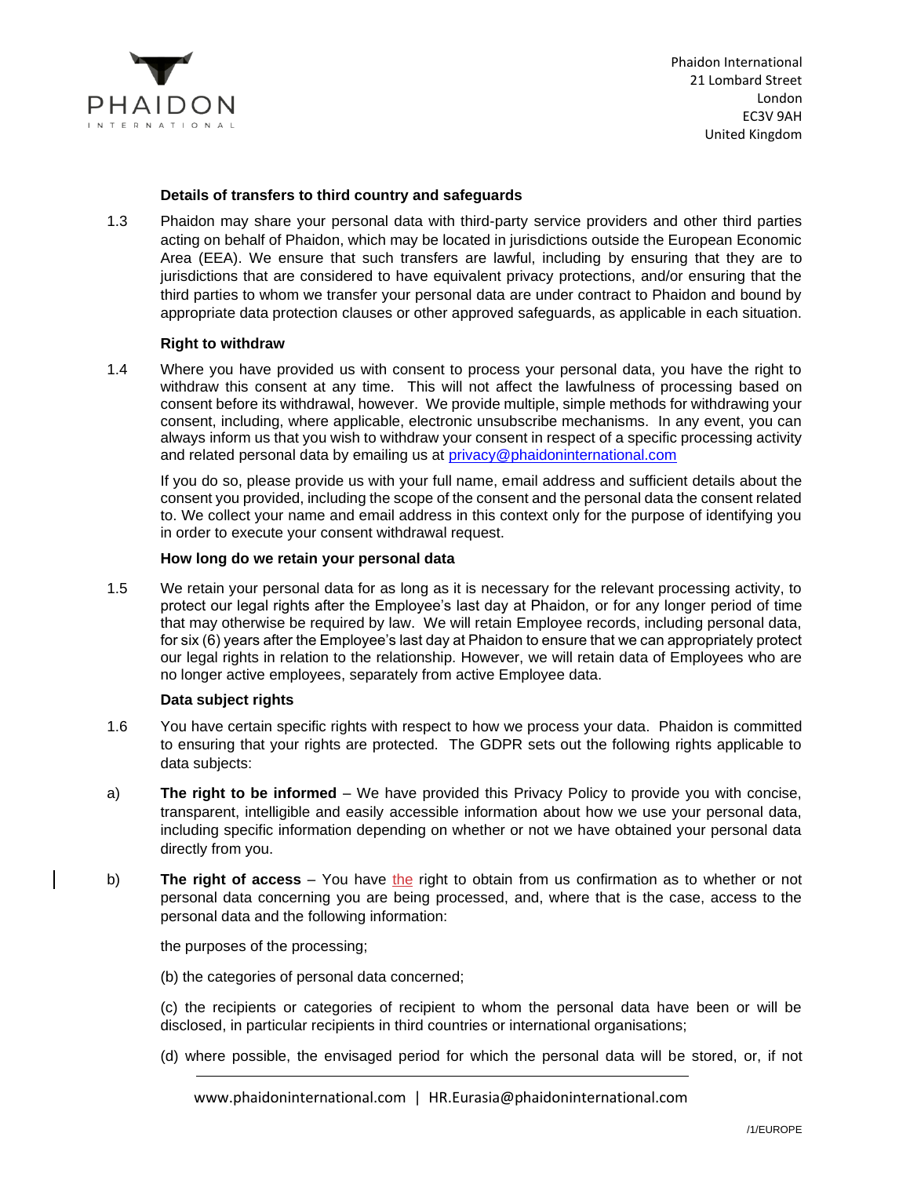

### **Details of transfers to third country and safeguards**

1.3 Phaidon may share your personal data with third-party service providers and other third parties acting on behalf of Phaidon, which may be located in jurisdictions outside the European Economic Area (EEA). We ensure that such transfers are lawful, including by ensuring that they are to jurisdictions that are considered to have equivalent privacy protections, and/or ensuring that the third parties to whom we transfer your personal data are under contract to Phaidon and bound by appropriate data protection clauses or other approved safeguards, as applicable in each situation.

## **Right to withdraw**

1.4 Where you have provided us with consent to process your personal data, you have the right to withdraw this consent at any time. This will not affect the lawfulness of processing based on consent before its withdrawal, however. We provide multiple, simple methods for withdrawing your consent, including, where applicable, electronic unsubscribe mechanisms. In any event, you can always inform us that you wish to withdraw your consent in respect of a specific processing activity and related personal data by emailing us at [privacy@phaidoninternational.com](mailto:privacy@phaidoninternational.com) 

If you do so, please provide us with your full name, email address and sufficient details about the consent you provided, including the scope of the consent and the personal data the consent related to. We collect your name and email address in this context only for the purpose of identifying you in order to execute your consent withdrawal request.

### **How long do we retain your personal data**

1.5 We retain your personal data for as long as it is necessary for the relevant processing activity, to protect our legal rights after the Employee's last day at Phaidon, or for any longer period of time that may otherwise be required by law. We will retain Employee records, including personal data, for six (6) years after the Employee's last day at Phaidon to ensure that we can appropriately protect our legal rights in relation to the relationship. However, we will retain data of Employees who are no longer active employees, separately from active Employee data.

### **Data subject rights**

- 1.6 You have certain specific rights with respect to how we process your data. Phaidon is committed to ensuring that your rights are protected. The GDPR sets out the following rights applicable to data subjects:
- a) **The right to be informed** We have provided this Privacy Policy to provide you with concise, transparent, intelligible and easily accessible information about how we use your personal data, including specific information depending on whether or not we have obtained your personal data directly from you.
- b) **The right of access** You have the right to obtain from us confirmation as to whether or not personal data concerning you are being processed, and, where that is the case, access to the personal data and the following information:

the purposes of the processing;

(b) the categories of personal data concerned;

(c) the recipients or categories of recipient to whom the personal data have been or will be disclosed, in particular recipients in third countries or international organisations;

(d) where possible, the envisaged period for which the personal data will be stored, or, if not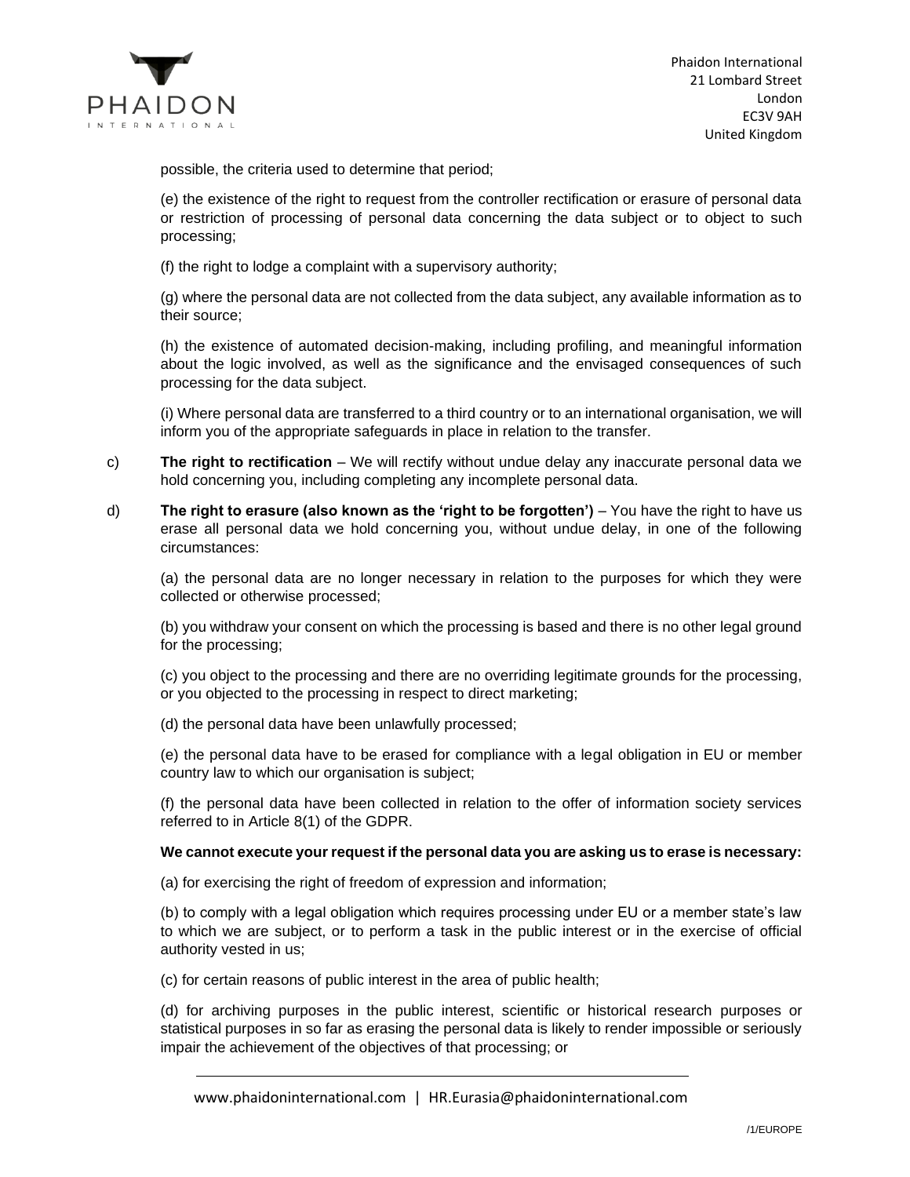

possible, the criteria used to determine that period;

(e) the existence of the right to request from the controller rectification or erasure of personal data or restriction of processing of personal data concerning the data subject or to object to such processing;

(f) the right to lodge a complaint with a supervisory authority;

(g) where the personal data are not collected from the data subject, any available information as to their source;

(h) the existence of automated decision-making, including profiling, and meaningful information about the logic involved, as well as the significance and the envisaged consequences of such processing for the data subject.

(i) Where personal data are transferred to a third country or to an international organisation, we will inform you of the appropriate safeguards in place in relation to the transfer.

- c) **The right to rectification** We will rectify without undue delay any inaccurate personal data we hold concerning you, including completing any incomplete personal data.
- d) **The right to erasure (also known as the 'right to be forgotten')** You have the right to have us erase all personal data we hold concerning you, without undue delay, in one of the following circumstances:

(a) the personal data are no longer necessary in relation to the purposes for which they were collected or otherwise processed;

(b) you withdraw your consent on which the processing is based and there is no other legal ground for the processing;

(c) you object to the processing and there are no overriding legitimate grounds for the processing, or you objected to the processing in respect to direct marketing;

(d) the personal data have been unlawfully processed;

(e) the personal data have to be erased for compliance with a legal obligation in EU or member country law to which our organisation is subject;

(f) the personal data have been collected in relation to the offer of information society services referred to in Article 8(1) of the GDPR.

### **We cannot execute your request if the personal data you are asking us to erase is necessary:**

(a) for exercising the right of freedom of expression and information;

(b) to comply with a legal obligation which requires processing under EU or a member state's law to which we are subject, or to perform a task in the public interest or in the exercise of official authority vested in us;

(c) for certain reasons of public interest in the area of public health;

(d) for archiving purposes in the public interest, scientific or historical research purposes or statistical purposes in so far as erasing the personal data is likely to render impossible or seriously impair the achievement of the objectives of that processing; or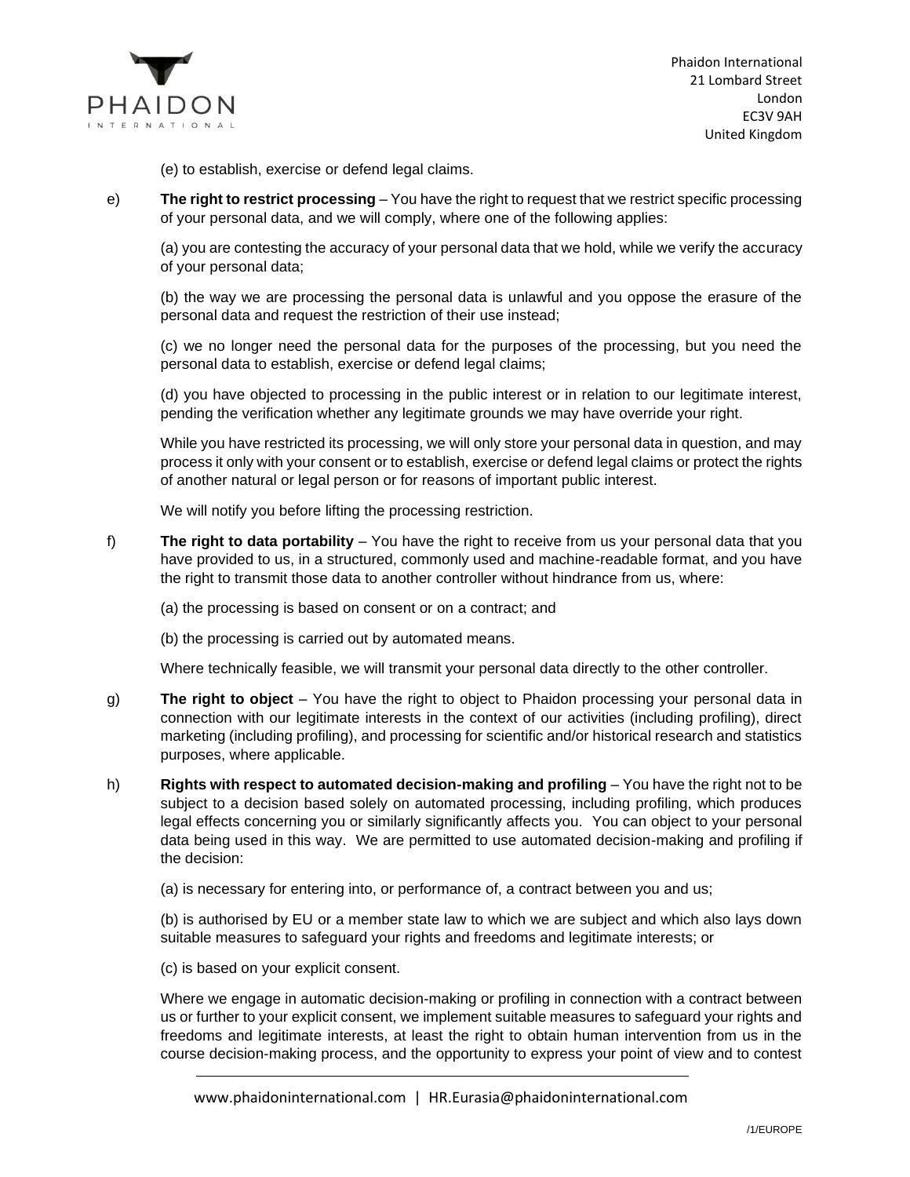

(e) to establish, exercise or defend legal claims.

e) **The right to restrict processing** – You have the right to request that we restrict specific processing of your personal data, and we will comply, where one of the following applies:

(a) you are contesting the accuracy of your personal data that we hold, while we verify the accuracy of your personal data;

(b) the way we are processing the personal data is unlawful and you oppose the erasure of the personal data and request the restriction of their use instead;

(c) we no longer need the personal data for the purposes of the processing, but you need the personal data to establish, exercise or defend legal claims;

(d) you have objected to processing in the public interest or in relation to our legitimate interest, pending the verification whether any legitimate grounds we may have override your right.

While you have restricted its processing, we will only store your personal data in question, and may process it only with your consent or to establish, exercise or defend legal claims or protect the rights of another natural or legal person or for reasons of important public interest.

We will notify you before lifting the processing restriction.

f) **The right to data portability** – You have the right to receive from us your personal data that you have provided to us, in a structured, commonly used and machine-readable format, and you have the right to transmit those data to another controller without hindrance from us, where:

(a) the processing is based on consent or on a contract; and

(b) the processing is carried out by automated means.

Where technically feasible, we will transmit your personal data directly to the other controller.

- g) **The right to object** You have the right to object to Phaidon processing your personal data in connection with our legitimate interests in the context of our activities (including profiling), direct marketing (including profiling), and processing for scientific and/or historical research and statistics purposes, where applicable.
- h) **Rights with respect to automated decision-making and profiling** You have the right not to be subject to a decision based solely on automated processing, including profiling, which produces legal effects concerning you or similarly significantly affects you. You can object to your personal data being used in this way. We are permitted to use automated decision-making and profiling if the decision:

(a) is necessary for entering into, or performance of, a contract between you and us;

(b) is authorised by EU or a member state law to which we are subject and which also lays down suitable measures to safeguard your rights and freedoms and legitimate interests; or

(c) is based on your explicit consent.

Where we engage in automatic decision-making or profiling in connection with a contract between us or further to your explicit consent, we implement suitable measures to safeguard your rights and freedoms and legitimate interests, at least the right to obtain human intervention from us in the course decision-making process, and the opportunity to express your point of view and to contest